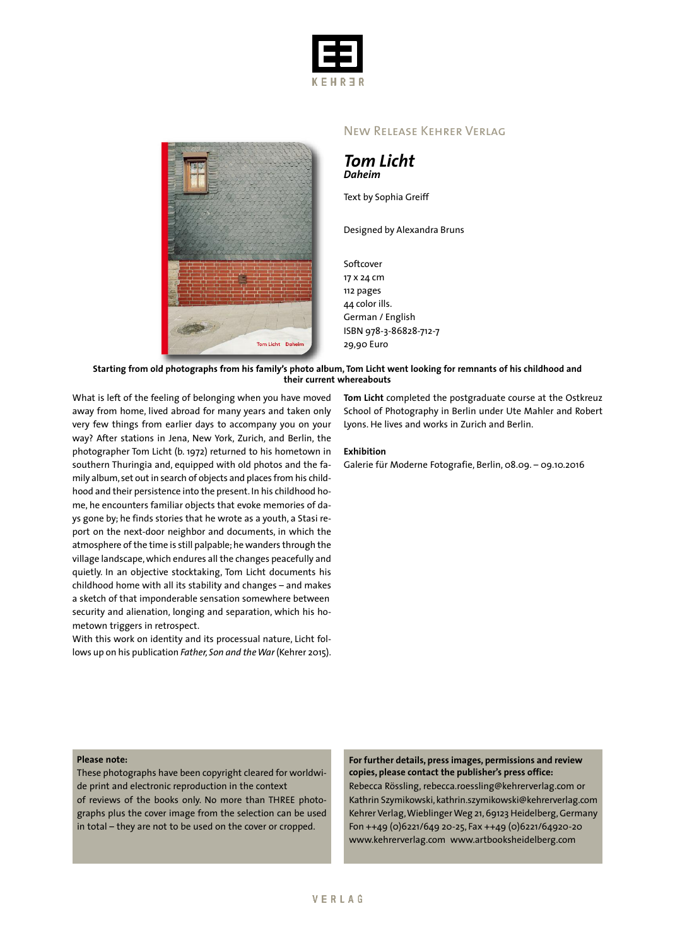



## New Release Kehrer Verlag

*Tom Licht Daheim*

Text by Sophia Greiff

Designed by Alexandra Bruns

Softcover 17 x 24 cm 112 pages 44 color ills. German / English ISBN 978-3-86828-712-7

#### Starting from old photographs from his family's photo album, Tom Licht went looking for remnants of his childhood and **their current whereabouts**

What is left of the feeling of belonging when you have moved away from home, lived abroad for many years and taken only very few things from earlier days to accompany you on your way? After stations in Jena, New York, Zurich, and Berlin, the photographer Tom Licht (b. 1972) returned to his hometown in southern Thuringia and, equipped with old photos and the family album, set out in search of objects and places from his childhood and their persistence into the present. In his childhood home, he encounters familiar objects that evoke memories of days gone by; he finds stories that he wrote as a youth, a Stasi report on the next-door neighbor and documents, in which the atmosphere of the time is still palpable; he wanders through the village landscape,which endures all the changes peacefully and quietly. In an objective stocktaking, Tom Licht documents his childhood home with all its stability and changes – and makes a sketch of that imponderable sensation somewhere between security and alienation, longing and separation, which his hometown triggers in retrospect.

With this work on identity and its processual nature, Licht follows up on his publication *Father, Son and theWar* (Kehrer 2015).

**Tom Licht** completed the postgraduate course at the Ostkreuz School of Photography in Berlin under Ute Mahler and Robert Lyons. He lives and works in Zurich and Berlin.

#### **Exhibition**

29,90 Euro

Galerie für Moderne Fotografie, Berlin, 08.09. – 09.10.2016

### **Please note:**

These photographs have been copyright cleared for worldwide print and electronic reproduction in the context of reviews of the books only. No more than THREE photographs plus the cover image from the selection can be used in total – they are not to be used on the cover or cropped.

**For further details, press images, permissions and review copies, please contact the publisher's press office:** Rebecca Rössling, rebecca.roessling@kehrerverlag.com or Kathrin Szymikowski, kathrin.szymikowski@kehrerverlag.com Kehrer Verlag, Wieblinger Weg 21, 69123 Heidelberg, Germany Fon ++49 (0)6221/649 20-25, Fax ++49 (0)6221/64920-20 www.kehrerverlag.com www.artbooksheidelberg.com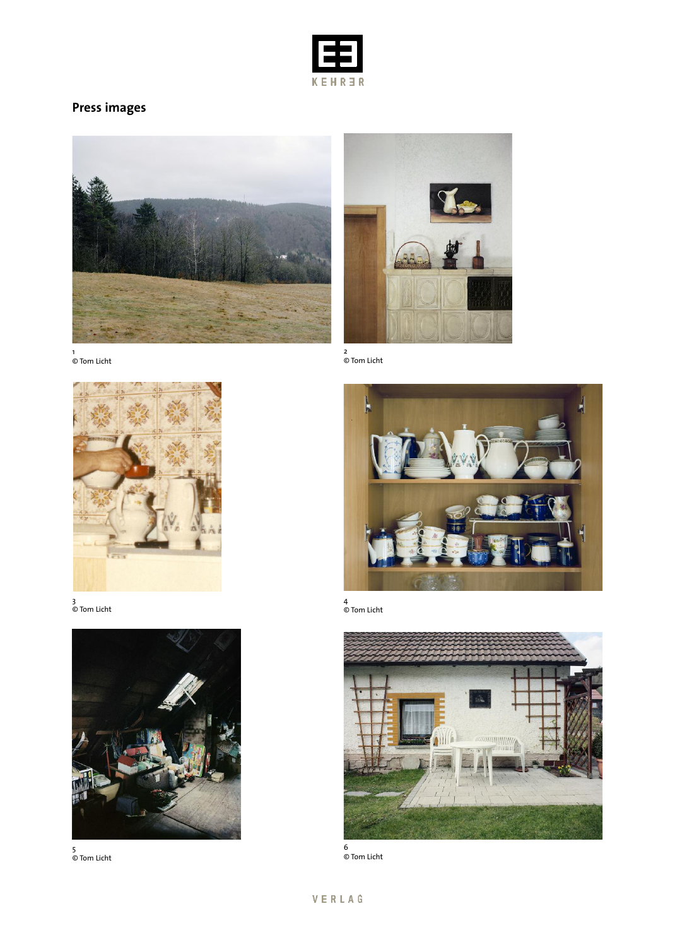

# **Press images**





© Tom Licht



4 © Tom Licht



© Tom Licht

1 © Tom Licht



3 © Tom Licht



5 © Tom Licht